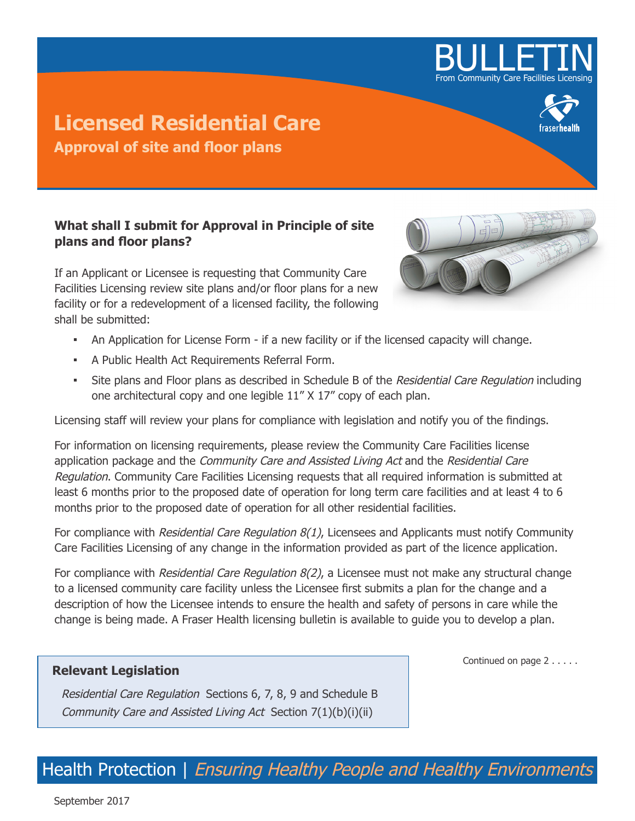

## **Licensed Residential Care Approval of site and floor plans**

## **What shall I submit for Approval in Principle of site plans and floor plans?**

If an Applicant or Licensee is requesting that Community Care Facilities Licensing review site plans and/or floor plans for a new facility or for a redevelopment of a licensed facility, the following shall be submitted:

- 
- **▪** An Application for License Form if a new facility or if the licensed capacity will change.
- **▪** A Public Health Act Requirements Referral Form.
- **Site plans and Floor plans as described in Schedule B of the** *Residential Care Regulation* **including** one architectural copy and one legible 11" X 17" copy of each plan.

Licensing staff will review your plans for compliance with legislation and notify you of the findings.

For information on licensing requirements, please review the Community Care Facilities license application package and the Community Care and Assisted Living Act and the Residential Care Regulation. Community Care Facilities Licensing requests that all required information is submitted at least 6 months prior to the proposed date of operation for long term care facilities and at least 4 to 6 months prior to the proposed date of operation for all other residential facilities.

For compliance with Residential Care Regulation 8(1), Licensees and Applicants must notify Community Care Facilities Licensing of any change in the information provided as part of the licence application.

For compliance with Residential Care Regulation 8(2), a Licensee must not make any structural change to a licensed community care facility unless the Licensee first submits a plan for the change and a description of how the Licensee intends to ensure the health and safety of persons in care while the change is being made. A Fraser Health licensing bulletin is available to guide you to develop a plan.

## **Relevant Legislation**

Residential Care Regulation Sections 6, 7, 8, 9 and Schedule B Community Care and Assisted Living Act Section 7(1)(b)(i)(ii)

Continued on page 2 . . . . .

Health Protection | Ensuring Healthy People and Healthy Environments

September 2017